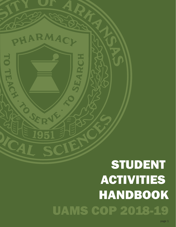# STUDENT ACTIVITIES HANDBOOK UAMS COP 2018-19

ARMAC

195

**ARCH** 

**TO TEAS**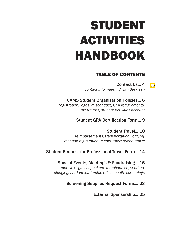# STUDENT ACTIVITIES HANDBOOK

# TABLE OF CONTENTS

Contact Us... 4 *contact info, meeting with the dean*

 $\boxed{\bigcirc}$ 

UAMS Student Organization Policies... 6

*registration, logos, misconduct, GPA requirements, tax returns, student activities account* 

# Student GPA Certification Form... 9

Student Travel... 10 *reimbursements, transportation, lodging, meeting registration, meals, international travel*

# Student Request for Professional Travel Form... 14

Special Events, Meetings & Fundraising... 15 *approvals, guest speakers, merchandise, vendors, pledging, student leadership office, health screenings*

# Screening Supplies Request Forms... 23

External Sponsorship... 25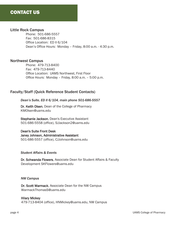## Little Rock Campus

Phone: 501-686-5557 Fax: 501-686-8315 Office Location: ED II 6/104 Dean's Office Hours: Monday – Friday, 8:00 a.m. - 4:30 p.m.

## Northwest Campus

Phone: 479-713-8400 Fax: 479-713-8440 Office Location: UAMS Northwest, First Floor Office Hours: Monday – Friday, 8:00 a.m. – 5:00 p.m.

## Faculty/Staff (Quick Reference Student Contacts)

### *Dean's Suite, ED II 6/104, main phone 501-686-5557*

Dr. Keith Olsen, Dean of the College of Pharmacy KMOlsen@uams.edu

Stephanie Jackson, Dean's Executive Assistant 501-686-5558 (office), SJJackson2@uams.edu

Dean's Suite Front Desk Janey Johnson, Administrative Assistant 501-686-5557 (office), CJJohnson@uams.edu

#### *Student Affairs & Events*

Dr. Schwanda Flowers, Associate Dean for Student Affairs & Faculty Development SKFlowers@uams.edu

#### *NW Campus*

Dr. Scott Warmack, Associate Dean for the NW Campus WarmackThomasS@uams.edu

#### Hilary Mickey

479-713-8404 (office), HNMickey@uams.edu, NW Campus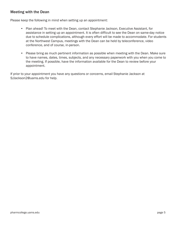# Meeting with the Dean

Please keep the following in mind when setting up an appointment:

- Plan ahead! To meet with the Dean, contact Stephanie Jackson, Executive Assistant, for assistance in setting up an appointment. It is often difficult to see the Dean on same-day notice due to schedule complications, although every effort will be made to accommodate. For students at the Northwest Campus, meetings with the Dean can be held by teleconference, video conference, and of course, in-person.
- Please bring as much pertinent information as possible when meeting with the Dean. Make sure to have names, dates, times, subjects, and any necessary paperwork with you when you come to the meeting. If possible, have the information available for the Dean to review before your appointment.

If prior to your appointment you have any questions or concerns, email Stephanie Jackson at SJJackson2@uams.edu for help.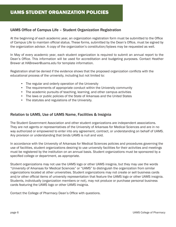# UAMS Office of Campus Life – Student Organization Registration

At the beginning of each academic year, an organization registration form must be submitted to the Office of Campus Life to maintain official status. These forms, submitted by the Dean's Office, must be signed by the organization advisor. A copy of the organization's constitution/bylaws may be requested as well.

In May of every academic year, each student organization is required to submit an annual report to the Dean's Office. This information will be used for accreditation and budgeting purposes. Contact Heather Brewer at HABrewer@uams.edu for template information.

Registration shall be denied if the evidence shows that the proposed organization conflicts with the educational process of the university, including but not limited to:

- The regular and orderly operation of the University
- The requirements of appropriate conduct within the University community
- The academic pursuits of teaching, learning, and other campus activities
- The laws or public policies of the State of Arkansas and the United States
- The statutes and regulations of the University.

## Relation to UAMS, Use of UAMS Name, Facilities & Insignia

The Student Government Association and other student organizations are independent associations. They are not agents or representatives of the University of Arkansas for Medical Sciences and are in no way authorized or empowered to enter into any agreement, contract, or understanding on behalf of UAMS. Any provision or understanding that binds UAMS is null and void.

In accordance with the University of Arkansas for Medical Sciences policies and procedures governing the use of facilities, student organizations desiring to use university facilities for their activities and meetings must be registered by the institution on an annual basis. Student organizations must be sponsored by a specified college or department, as appropriate.

Student organizations may not use the UAMS logo or other UAMS insignia, but they may use the words "University of Arkansas for Medical Sciences" or "UAMS" to distinguish the organization from similar organizations located at other universities. Student organizations may not create or sell business cards and/or other official items of university representation that feature the UAMS logo or other UAMS insignia. Students, individually (organization members or not), may not produce or purchase personal business cards featuring the UAMS logo or other UAMS insignia.

Contact the College of Pharmacy Dean's Office with questions.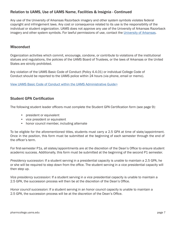# Relation to UAMS, Use of UAMS Name, Facilities & Insignia - Continued

Any use of the University of Arkansas Razorback imagery and other system symbols violates federal copyright and infringement laws. Any cost or consequence related to its use is the responsibility of the individual or student organization. UAMS does not approve any use of the University of Arkansas Razorback imagery and other system symbols. For lawful permissions of use, contact the [University of Arkansas](http://styleguides.uark.edu/graphic-identity/logos-and-wordmarks/the-razorback.php).

## **Misconduct**

Organization activities which commit, encourage, condone, or contribute to violations of the institutional statues and regulations, the policies of the UAMS Board of Trustees, or the laws of Arkansas or the United States are strictly prohibited.

Any violation of the UAMS Basic Code of Conduct (Policy 4.4.01) or individual College Code of Conduct should be reported to the UAMS police within 24 hours (via phone, email or memo).

[View UAMS Basic Code of Conduct within the UAMS Administrative Guide>](http://academicaffairs.uams.edu/policy-search/)

## Student GPA Certification

The following student leader officers must complete the Student GPA Certification form (see page 9):

- president or equivalent
- vice president or equivalent
- honor council member, including alternate

To be eligible for the aforementioned titles, students must carry a 2.5 GPA at time of slate/appointment. Once in the position, this form must be submitted at the beginning of each semester through the end of the officer's term.

For first-semester P1s, all slates/appointments are at the discretion of the Dean's Office to ensure student academic success. Additionally, this form must be submitted at the beginning of the second P1 semester.

*Presidency succession:* If a student serving in a presidential capacity is unable to maintain a 2.5 GPA, he or she will be required to step down from the office. The student serving in a vice presidential capacity will then step up.

*Vice presidency succession:* If a student serving in a vice presidential capacity is unable to maintain a 2.5 GPA, the succession process will then be at the discretion of the Dean's Office.

*Honor council succession*: If a student serving in an honor council capacity is unable to maintain a 2.5 GPA, the succession process will be at the discretion of the Dean's Office.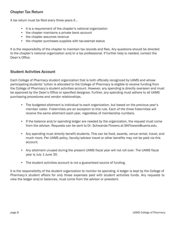# Chapter Tax Return

A tax return must be filed every three years if...

- it is a requirement of the chapter's national organization
- the chapter maintains a private bank account
- the chapter assumes revenue
- the chapter purchases supplies with tax-exempt status

It is the responsibility of the chapter to maintain tax records and files. Any questions should be directed to the chapter's national organization and/or a tax professional. If further help is needed, contact the Dean's Office.

## Student Activities Account

Each College of Pharmacy student organization that is both officially recognized by UAMS and whose participating students' tuition is allocated to the College of Pharmacy is eligible to receive funding from the College of Pharmacy's student activities account. However, any spending is directly overseen and must be approved by the Dean's Office or specified designee. Further, any spending must adhere to all UAMS purchasing procedures and vendor relationships.

- The budgeted allotment is individual to each organization, but based on the previous year's member roster. Fraternities are an exception to this rule. Each of the three fraternities will receive the same allotment each year, regardless of membership numbers.
- If the balance and/or spending ledger are needed by the organization, the request must come from the advisor. Requests can be sent to Dr. Schwanda Flowers at SKFlowers@uams.edu.
- Any spending must directly benefit students. This can be food, awards, venue rental, travel, and much more. Per UAMS policy, faculty/advisor travel or other benefits may not be paid via this account.
- Any allotment unused during the present UAMS fiscal year will not roll over. The UAMS fiscal year is July 1-June 30.
- The student activities account is not a guaranteed source of funding.

It is the responsibility of the student organization to monitor its spending. A ledger is kept by the College of Pharmacy's student affairs for only those expenses paid with student activities funds. Any requests to view the ledger and/or balances, must come from the advisor or president.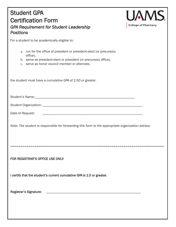# Student GPA Certification Form *GPA Requirement for Student Leadership Positions*



For a student to be academically eligible to:

| a. run for the office of president or president-elect (or precursory<br>office),<br>b. serve as president-elect or president (or precursory office),<br>c. serve as honor council member or alternate, |
|--------------------------------------------------------------------------------------------------------------------------------------------------------------------------------------------------------|
| the student must have a cumulative GPA of 2.50 or greater.                                                                                                                                             |
|                                                                                                                                                                                                        |
|                                                                                                                                                                                                        |
|                                                                                                                                                                                                        |
| Note: The student is responsible for forwarding this form to the appropriate organization advisor.                                                                                                     |
| FOR REGISTRAR'S OFFICE USE ONLY:                                                                                                                                                                       |
| I certify that the student's current cumulative GPA is 2.5 or greater.                                                                                                                                 |
| <b>Registrar's Signature:</b>                                                                                                                                                                          |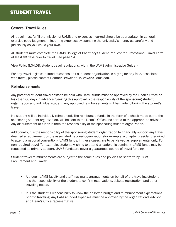# General Travel Rules

All travel must fulfill the mission of UAMS and expenses incurred should be appropriate. In general, exercise good judgment in incurring expenses by spending the university's money as carefully and judiciously as you would your own.

All students must complete the UAMS College of Pharmacy Student Request for Professional Travel Form at least 60 days prior to travel. See page 14.

[View Policy 8.04.08, student travel regulations, within the UAMS Administrative Guide >](http://academicaffairs.uams.edu/policy-search/)

For any travel logistics-related questions or if a student organization is paying for any fees, associated with travel, please contact Heather Brewer at HABrewer@uams.edu.

## Reimbursements

Any potential student travel costs to be paid with UAMS funds must be approved by the Dean's Office no less than 60 days in advance. Seeking this approval is the responsibility of the sponsoring student organization and individual student. Any approved reimbursements will be made following the student's travel.

No student will be individually reimbursed. The reimbursed funds, in the form of a check made out to the sponsoring student organization, will be sent to the Dean's Office and sorted to the appropriate advisor. Any disbursement of funds is then the responsibility of the sponsoring student organization.

Additionally, it is the responsibility of the sponsoring student organization to financially support any travel deemed a requirement by the associated national organization (for example, a chapter president required to attend a national convention). UAMS funds, in these cases, are to be viewed as supplemental only. For non-required travel (for example, students wishing to attend a leadership seminar), UAMS funds may be requested as primary support. UAMS funds are never a guaranteed source of travel funding.

Student travel reimbursements are subject to the same rules and policies as set forth by UAMS Procurement and Travel:

- Although UAMS faculty and staff may make arrangements on behalf of the traveling student, it is the responsibility of the student to confirm reservations, tickets, registration, and other traveling needs.
- It is the student's responsibility to know their allotted budget and reimbursement expectations prior to traveling. Any UAMS-funded expenses must be approved by the organization's advisor and Dean's Office representative.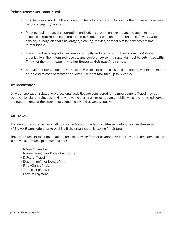## Reimbursements - continued

- It is the responsibility of the student to check for accuracy of bills and other documents received before accepting/payment.
- Meeting registration, transportation, and lodging are the only reimbursable travel-related expenses. Itemized receipts are required. Food, personal entertainment, tips, flowers, valet service, laundry, alcoholic beverages, cleaning, movies, or other similar services are not reimbursable.
- The student must report all expenses promptly and accurately to their sponsoring student organization. Then, itemized receipts and conference/seminar agenda must be submitted within 7 days of the return date to Heather Brewer at HABrewer@uams.edu.
- A travel reimbursement may take up to 6 weeks to be processed. If submitting within one month at the end of each semester, the reimbursement may take up to 8 weeks.

# **Transportation**

Only transportation related to professional activities are considered for reimbursement. Travel may be achieved by plane, train, bus, taxi, private vehicle/aircraft, or rented automobile; whichever method serves the requirements of the state most economically and advantageously.

# Air Travel

Travelers by commercial air shall utilize coach accommodations. Please contact Heather Brewer at HABrewer@uams.edu prior to booking if the organization is paying for air fare.

The airfare receipt must be an actual receipt showing form of payment. An itinerary or preliminary booking is not valid. The receipt should include:

- •Name of Traveler
- •Name/Designator Code of Air Carrier
- •Dates of Travel
- •Destination(s) or leg(s) of trip
- •Fare/Class of ticket
- •Total cost of ticket
- •Form of Payment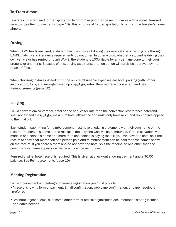# To/From Airport

Taxi fares/tolls required for transportation to or from airport may be reimbursable with original, itemized receipts. See Reimbursements (page 10). This is not valid for transportation to or from the traveler's home airport.

# Driving

When UAMS funds are used, a student has the choice of driving their own vehicle or renting one through UAMS. Liability and insurance requirements do not differ. In other words, whether a student is driving their own vehicle or has rented through UAMS, the student is 100% liable for any damage done to their own property or another's. Because of this, driving as a transportation option will rarely be approved by the Dean's Office.

When choosing to drive instead of fly, the only reimbursable expenses are hotel parking (with proper justification)[, tolls, an](www.gsa.gov)d mileage based upon **GSA.gov** rates. Itemized receipts are required See Reimbursements (page 10).

# Lodging

Pick a convention/c[onference](www.gsa.gov) hotel or one at a lesser rate than the convention/conference hotel and shall not exceed the GSA.gov maximum hotel allowance and must only have room and tax charges applied to the final bill.

Each student submitting for reimbursement must have a lodging statement with their own name on the receipt. The person's name on the receipt is the only one who will be reimbursed. If the reservation was made in one person's name and more than one person is paying the bill, you can have the hotel split the receipt to show that more than one person paid and reimbursement can be paid to those names shown on the receipt. If you share a room and do not have the hotel split the receipt, no one other than the person whose name appears on the receipt can be reimbursed.

Itemized original hotel receipt is required. This is given at check-out showing payment and a \$0.00 balance. See Reimbursements (page 10).

# Meeting Registration

For reimbursement of meeting/conference registration you must provide:

- •A receipt showing form of payment. Email confirmation, web page confirmation, or paper receipt is preferred.
- •Brochure, agenda, emails, or some other form of official organization documentation stating location and dates needed.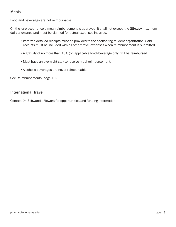# Meals

Food and beverages are not reimbursable.

On the rare occurrence a meal reimbursement is approved, it shall not exceed the [GSA.gov](www.gsa.gov) maximum daily allowance and must be claimed for actual expenses incurred.

- •Itemized detailed receipts must be provided to the sponsoring student organization. Said receipts must be included with all other travel expenses when reimbursement is submitted.
- •A gratuity of no more than 15% (on applicable food/beverage only) will be reimbursed.
- •Must have an overnight stay to receive meal reimbursement.
- •Alcoholic beverages are never reimbursable.

See Reimbursements (page 10).

## International Travel

Contact Dr. Schwanda Flowers for opportunities and funding information.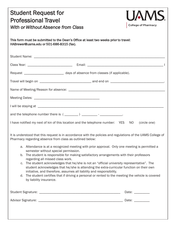| <b>Student Request for</b><br><b>UAMS</b><br><b>Professional Travel</b><br><b>College of Pharmacy</b><br>With or Without Absence from Class<br>This form must be submitted to the Dean's Office at least two weeks prior to travel:<br>HABrewer@uams.edu or 501-686-8315 (fax).                                                                                                                                                                                                                                                                                                                                                                                                                                                                                                                                                                        |  |
|--------------------------------------------------------------------------------------------------------------------------------------------------------------------------------------------------------------------------------------------------------------------------------------------------------------------------------------------------------------------------------------------------------------------------------------------------------------------------------------------------------------------------------------------------------------------------------------------------------------------------------------------------------------------------------------------------------------------------------------------------------------------------------------------------------------------------------------------------------|--|
|                                                                                                                                                                                                                                                                                                                                                                                                                                                                                                                                                                                                                                                                                                                                                                                                                                                        |  |
|                                                                                                                                                                                                                                                                                                                                                                                                                                                                                                                                                                                                                                                                                                                                                                                                                                                        |  |
| Request ________________________________ days of absence from classes (if applicable).                                                                                                                                                                                                                                                                                                                                                                                                                                                                                                                                                                                                                                                                                                                                                                 |  |
|                                                                                                                                                                                                                                                                                                                                                                                                                                                                                                                                                                                                                                                                                                                                                                                                                                                        |  |
|                                                                                                                                                                                                                                                                                                                                                                                                                                                                                                                                                                                                                                                                                                                                                                                                                                                        |  |
|                                                                                                                                                                                                                                                                                                                                                                                                                                                                                                                                                                                                                                                                                                                                                                                                                                                        |  |
|                                                                                                                                                                                                                                                                                                                                                                                                                                                                                                                                                                                                                                                                                                                                                                                                                                                        |  |
|                                                                                                                                                                                                                                                                                                                                                                                                                                                                                                                                                                                                                                                                                                                                                                                                                                                        |  |
| I have notified my next of kin of this location and the telephone number: YES NO (circle one)                                                                                                                                                                                                                                                                                                                                                                                                                                                                                                                                                                                                                                                                                                                                                          |  |
| It is understood that this request is in accordance with the policies and regulations of the UAMS College of<br>Pharmacy regarding absence from class as outlined below:<br>a. Attendance is at a recognized meeting with prior approval. Only one meeting is permitted a<br>semester without special permission.<br>b. The student is responsible for making satisfactory arrangements with their professors<br>regarding all missed class work.<br>c. The student acknowledges that he/she is not an "official university representative". The<br>student acknowledges that he/she is attending the extra-curricular function on their own<br>initiative, and therefore, assumes all liability and responsibility.<br>d. The student certifies that if driving a personal or rented to the meeting the vehicle is covered<br>by liability insurance. |  |
| Date: __________                                                                                                                                                                                                                                                                                                                                                                                                                                                                                                                                                                                                                                                                                                                                                                                                                                       |  |
|                                                                                                                                                                                                                                                                                                                                                                                                                                                                                                                                                                                                                                                                                                                                                                                                                                                        |  |
|                                                                                                                                                                                                                                                                                                                                                                                                                                                                                                                                                                                                                                                                                                                                                                                                                                                        |  |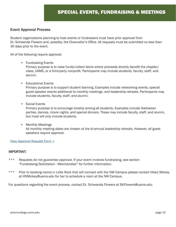## Event Approval Process

Student organizations planning to host events or fundraisers must have prior approval from Dr. Schwanda Flowers and, possibly, the Chancellor's Office. All requests must be submitted no less than 30 days prior to the event.

All of the following require approval:

## • Fundraising Events

Primary purpose is to raise funds/collect items where proceeds directly benefit the chapter/ class, UAMS, or a third-party nonprofit. Participants may include students, faculty, staff, and alumni.

- Educational Events Primary purpose is to support student learning. Examples include networking events, special guest speaker events additional to monthly meetings, and leadership retreats. Participants may include students, faculty, staff, and alumni.
- Social Events

Primary purpose is to encourage kinship among all students. Examples include Halloween parties, dances, movie nights, and special dinners. These may include faculty, staff, and alumni, but most will only include students.

• Monthly Meetings All monthly meeting dates are chosen at the bi-annual leadership retreats. However, all guest speakers require approval.

## [View Approval Request Form >](https://www.surveymonkey.com/r/WNKJDSK)

## IMPORTANT:

- \*\*\* Requests do not guarantee approval. If your event involves fundraising, see section "Fundraising/Solicitation - Merchandise" for further information.
- \*\*\* Prior to booking rooms in Little Rock that will connect with the NW Campus please contact Hilary Mickey at HNMickey@uams.edu for her to schedule a room at the NW Campus.

For questions re[garding the event process](mailto:HNMickey@uams.edu), contact Dr. Schwanda Flowers at SKFlowers@uams.edu.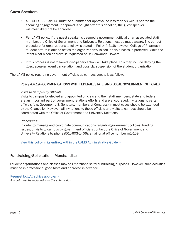# Guest Speakers

- ALL GUEST SPEAKERS must be submitted for approval no less than six weeks prior to the speaking engagement. If approval is sought after this deadline, the guest speaker will most likely not be approved.
- Per UAMS policy, if the guest speaker is deemed a government official or an associated staff member, the Office of Government and University Relations must be made aware. The correct procedure for organizations to follow is stated in Policy 4.4.19; however, College of Pharmacy student affairs is able to act as the organization's liaison in this process, if preferred. Make the intent clear when approval is requested of Dr. Schwanda Flowers.
- If this process is not followed, disciplinary action will take place. This may include denying the guest speaker; event cancellation; and possibly, suspension of the student organization.

The UAMS policy regarding government officials as campus guests is as follows:

## Policy 4.4.19 - COMMUNICATIONS WITH FEDERAL, STATE, AND LOCAL GOVERNMENT OFFICIALS

### *Visits to Campus by Officials:*

Visits to campus by elected and appointed officials and their staff members, state and federal, are an important part of government relations efforts and are encouraged. Invitations to certain officials (e.g. Governor, U.S. Senators, members of Congress) in most cases should be extended by the Chancellor. However, all invitations to these officials and visits to campus should be coordinated with the Office of Government and University Relations.

#### *Procedures:*

In order to manage and coordinate communications regarding government policies, funding issues, or visits to campus by government officials contact the Office of Government and University Relations by phone (501-603-1406), email or at office number m1-109.

Vie[w this policy in its entirety within the UAMS Administrative Guide >](http://academicaffairs.uams.edu/policy-search/)

## Fundraising/Solicitation - Merchandise

Student organizations and classes may sell merchandise for fundraising purposes. However, such activities must be in professional good taste and approved in advance.

[Request logo/graphics approval >](https://pharmcollege.uams.edu/current-students/student-activities/organizations/student-fundraising-approval-request/) *A proof must be included with the submission.*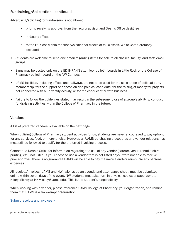# Fundraising/Solicitation - continued

Advertising/soliciting for fundraisers is not allowed:

- prior to receiving approval from the faculty advisor and Dean's Office designee
- in faculty offices
- to the P1 class within the first two calendar weeks of fall classes, White Coat Ceremony excluded
- Students are welcome to send one email regarding items for sale to all classes, faculty, and staff email groups.
- Signs may be posted only on the ED II/RAHN sixth floor bulletin boards in Little Rock or the College of Pharmacy bulletin board on the NW Campus.
- UAMS facilities, including offices and hallways, are not to be used for the solicitation of political party membership, for the support or opposition of a political candidate, for the raising of money for projects not connected with a university activity, or for the conduct of private business.
- Failure to follow the guidelines stated may result in the subsequent loss of a group's ability to conduct fundraising activities within the College of Pharmacy in the future.

## Vendors

A list of preferred vendors is available on the next page.

When utilizing College of Pharmacy student activities funds, students are never encouraged to pay upfront for any services, food, or merchandise. However, all UAMS purchasing procedures and vendor relationships must still be followed to qualify for the preferred invoicing process.

Contact the Dean's Office for information regarding the use of any vendor (caterer, venue rental, t-shirt printing, etc.) not listed. If you choose to use a vendor that is not listed or you were not able to receive prior approval, there is no guarantee UAMS will be able to pay the invoice and/or reimburse any personal expenses.

All receipts/invoices (UAMS and NW), alongside an agenda and attendance sheet, must be submitted online within seven days of the event. NW students must also turn in physical copies of paperwork to Hilary Mickey [at HNMickey@ua](https://pharmcollege.uams.edu/current-students/student-activities/organizations/submit-invoice/)ms.edu. This is the student's responsibility.

When working with a vendor, please reference UAMS College of Pharmacy, your organization, and remind them that UAMS is a tax exempt organization.

Submit receipts and invoices >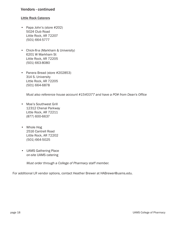## Vendors - continued

## Little Rock Caterers

- Papa John's (store #202) 5024 Club Road Little Rock, AR 72207 (501) 664-5777
- Chick-fil-a (Markham & University) 6201 W Markham St Little Rock, AR 72205 (501) 663-8080
- Panera Bread (store #202853) 314 S. University Little Rock, AR 72205 (501) 664-6878

*Must also reference house account #1540377 and have a PO# from Dean's Office* 

- Moe's Southwest Grill 12312 Chenal Parkway Little Rock, AR 72211 (877) 600-6637
- Whole Hog 2516 Cantrell Road Little Rock, AR 72202 (501) 664-5025
- UAMS Gathering Place on-site UAMS catering

*Must order through a College of Pharmacy staff member.*

For additional LR vendor options, contact Heather Brewer at [HABrewer@uams.edu.](mailto:HABrewer@uams.edu)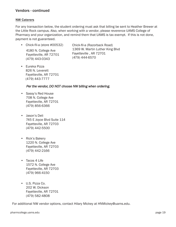## Vendors - continued

## NW Caterers

For any transaction below, the student ordering must ask that billing be sent to Heather Brewer at the Little Rock campus. Also, when working with a vendor, please reverence UAMS College of Pharmacy and your organization, and remind them that UAMS is tax exempt. If this is not done, payment is not guaranteed.

- Chick-fil-a (Razorback Road) 1369 W. Martin Luther King Blvd Fayetteville , AR 72701 (479) 444-6570 • Chick-fil-a (store #00532) 4180 N. College Ave Fayetteville, AR 72701 (479) 443-0343
- Eureka Pizza 826 N. Leverett Fayetteville, AR 72701 (479) 443-7777

## *Per the vendor, DO NOT choose NW billing when ordering.*

- Sassy's Red House 708 N. College Ave Fayetteville, AR 72701 (479) 856-6366
- Jason's Deli 745 E Joyce Blvd Suite 114 Fayetteville, AR 72703 (479) 442-5500
- Rick's Bakery 1220 N. College Ave Fayetteville, AR 72703 (479) 442-2166
- Tacos 4 Life 1572 N. College Ave Fayetteville, AR 72703 (479) 966-4150
- U.S. Pizza Co. 202 W. Dickson Fayetteville, AR 72701 (479) 582-4808

For additional NW vendor options, contact Hilary Mickey at [HNMickey@uams.edu.](mailto:HNMickey@uams.edu)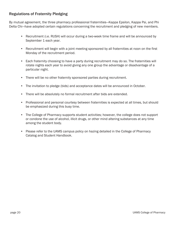# Regulations of Fraternity Pledging

By mutual agreement, the three pharmacy professional fraternities—Kappa Epsilon, Kappa Psi, and Phi Delta Chi—have adopted certain regulations concerning the recruitment and pledging of new members.

- Recruitment (i.e. RUSH) will occur during a two-week time frame and will be announced by September 1 each year.
- Recruitment will begin with a joint meeting sponsored by all fraternities at noon on the first Monday of the recruitment period.
- Each fraternity choosing to have a party during recruitment may do so. The fraternities will rotate nights each year to avoid giving any one group the advantage or disadvantage of a particular night.
- There will be no other fraternity sponsored parties during recruitment.
- The invitation to pledge (bids) and acceptance dates will be announced in October.
- There will be absolutely no formal recruitment after bids are extended.
- Professional and personal courtesy between fraternities is expected at all times, but should be emphasized during this busy time.
- The College of Pharmacy supports student activities; however, the college does not support or condone the use of alcohol, illicit drugs, or other mind altering substances at any time among the student body.
- Please refer to the UAMS campus policy on hazing detailed in the College of Pharmacy Catalog and Student Handbook.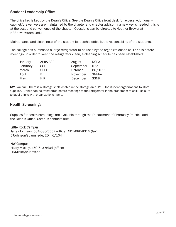# Student Leadership Office

The office key is kept by the Dean's Office. See the Dean's Office front desk for access. Additionally, cabinet/drawer keys are maintained by the chapter and chapter advisor. If a new key is needed, this is at the cost and convenience of the chapter. Questions can be directed to Heather Brewer at HABrewer@uams.edu.

Maintena[nce and cleanliness of th](https://pharmcollege.uams.edu/current-students/academic-programs/policies-procedures/)e student leadership office is the responsibility of the students.

The college has purchased a large refrigerator to be used by the organizations to chill drinks before meetings. In order to keep the refrigerator clean, a cleaning schedule has been established:

| January  | APhA-ASP    | August    | <b>NCPA</b>                |
|----------|-------------|-----------|----------------------------|
| February | <b>SSHP</b> | September | $\Phi \Delta X$            |
| March    | CPFI        | October   | $PX / \Phi \Lambda \Sigma$ |
| April    | KE.         | November  | <b>SNPhA</b>               |
| May      | ΚΨ          | December  | <b>SSNP</b>                |

NW Campus: There is a storage shelf located in the storage area, P10, for student organizations to store supplies. Drinks can be transferred before meetings to the refrigerator in the breakroom to chill. Be sure to label drinks with organizations name.

## Health Screenings

Supplies for health screenings are available through the Department of Pharmacy Practice and the Dean's Office. Campus contacts are:

## Little Rock Campus

Janey Johnson, 501-686-5557 (office), 501-686-8315 (fax) CJJohnson@uams.edu, ED II 6/104

## NW Campus

[Hilary Mickey, 479-713-84](mailto:CJJohnson@uams.edu)04 (office) HNMickey@uams.edu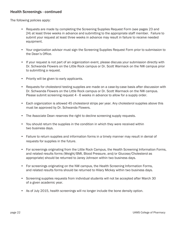# Health Screenings - continued

The following policies apply:

- Requests are made by completing the Screening Supplies Request Form (see pages 23 and 24) at least three weeks in advance and submitting to the appropriate staff member. Failure to submit your request at least three weeks in advance may result in failure to receive needed equipment.
- Your organization advisor must sign the Screening Supplies Request Form prior to submission to the Dean's Office.
- If your request is not part of an organization event, please discuss your submission directly with Dr. Schwanda Flowers on the Little Rock campus or Dr. Scott Warmack on the NW campus prior to submitting a request.
- Priority will be given to early applicants.
- Requests for cholesterol testing supplies are made on a case-by-case basis after discussion with Dr. Schwanda Flowers on the Little Rock campus or Dr. Scott Warmack on the NW campus. Please submit screening request 4 - 6 weeks in advance to allow for a supply order.
- Each organization is allowed 45 cholesterol strips per year. Any cholesterol supplies above this must be approved by Dr. Schwanda Flowers.
- The Associate Dean reserves the right to decline screening supply requests.
- You should return the supplies in the condition in which they were received within two business days.
- Failure to return supplies and information forms in a timely manner may result in denial of requests for supplies in the future.
- For screenings originating from the Little Rock Campus, the Health Screening Information Forms, and related results forms (Weight/BMI, Blood Pressure, and/or Glucose/Cholesterol as appropriate) should be returned to Janey Johnson within two business days.
- For screenings originating on the NW campus, the Health Screening Information Forms, and related results forms should be returned to Hilary Mickey within two business days.
- Screening supplies requests from individual students will not be accepted after March 30 of a given academic year.
- As of July 2015, health screenings will no longer include the bone density option.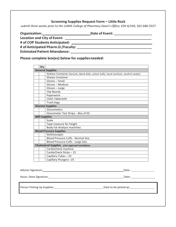## **Screening Supplies Request Form – Little Rock**

*submit three weeks prior to the UAMS College of Pharmacy Dean's Office, EDII 6/104, 501-686-5557*

|                                    | Date of Event: The contract of Event:                                                                                                                                                                                               |
|------------------------------------|-------------------------------------------------------------------------------------------------------------------------------------------------------------------------------------------------------------------------------------|
| <b>Location and City of Event:</b> |                                                                                                                                                                                                                                     |
|                                    |                                                                                                                                                                                                                                     |
| # of Anticipated Pharm.D./Faculty: |                                                                                                                                                                                                                                     |
|                                    | <b>Estimated Patient Attendance:</b> The Contract of the Contract of the Contract of the Contract of the Contract of the Contract of the Contract of the Contract of the Contract of the Contract of the Contract of the Contract o |

**Please complete box(es) below for suppliesneeded:**

| Qty |                                                                                     |
|-----|-------------------------------------------------------------------------------------|
|     | <b>General Supplies</b>                                                             |
|     | Station Container (lancets, Band-Aids, cotton balls, hand sanitizer, alcohol swabs) |
|     | <b>Sharps Container</b>                                                             |
|     | Gloves - Small                                                                      |
|     | Gloves - Medium                                                                     |
|     | Gloves - Large                                                                      |
|     | Clip Boards                                                                         |
|     | Paperwork                                                                           |
|     | Cloth Tablecloth                                                                    |
|     | Trash bags                                                                          |
|     | <b>Glucose Supplies</b>                                                             |
|     | Glucometers                                                                         |
|     | Glucometer Test Strips - Box of 50                                                  |
|     | <b>BMI Supplies</b>                                                                 |
|     | Scale                                                                               |
|     | Tape measure for height                                                             |
|     | <b>Body Fat Analysis machines</b>                                                   |
|     | <b>Blood Pressure Supplies</b>                                                      |
|     | Stethoscopes                                                                        |
|     | <b>Blood Pressure Cuffs - Normal Size</b>                                           |
|     | Blood Pressure Cuffs - Large Size                                                   |
|     | <b>Cholesterol Supplies</b> prior approval mandatory                                |
|     | CardioCheck machine                                                                 |
|     | CardioCheck Strips - 15                                                             |
|     | Capillary Tubes-25                                                                  |
|     | Capillary Plungers-25                                                               |

Advisor Signature: Date:

Assoc. Dean Signature: Date:

Person Picking Up Supplies: Date to be pickedup: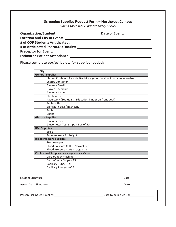## **Screening Supplies Request Form – Northwest Campus**

*submit three weeks prior to Hilary Mickey*

| Organization/Student:<br><u>Department</u>                                                                                                                                                                                     | Date of Event: National Property Control Control Control Control Control Control Control Control Control Control Control Control Control Control Control Control Control Control Control Control Control Control Control Contr |
|--------------------------------------------------------------------------------------------------------------------------------------------------------------------------------------------------------------------------------|--------------------------------------------------------------------------------------------------------------------------------------------------------------------------------------------------------------------------------|
|                                                                                                                                                                                                                                |                                                                                                                                                                                                                                |
|                                                                                                                                                                                                                                |                                                                                                                                                                                                                                |
|                                                                                                                                                                                                                                |                                                                                                                                                                                                                                |
|                                                                                                                                                                                                                                |                                                                                                                                                                                                                                |
| Estimated Patient Attendance: University of the University of the University of the University of the University of the University of the University of the University of the University of the University of the University o |                                                                                                                                                                                                                                |

**Please complete box(es) below for suppliesneeded:**

| Qty                 |                                                                              |
|---------------------|------------------------------------------------------------------------------|
|                     | <b>General Supplies</b>                                                      |
|                     | Station Container (lancets, Band-Aids, gauze, hand sanitizer, alcohol swabs) |
|                     | <b>Sharps Container</b>                                                      |
|                     | Gloves - Small                                                               |
|                     | Gloves - Medium                                                              |
|                     | Gloves - Large                                                               |
|                     | Clip Boards                                                                  |
|                     | Paperwork (See Health Education binder on front desk)                        |
|                     | Tablecloth                                                                   |
|                     | Biohazard bags/Trashcans                                                     |
|                     | Table                                                                        |
|                     | Chairs                                                                       |
|                     | <b>Glucose Supplies</b>                                                      |
|                     | Glucometers                                                                  |
|                     | Glucometer Test Strips - Box of 50                                           |
| <b>BMI Supplies</b> |                                                                              |
|                     | Scale                                                                        |
|                     | Tape measure for height                                                      |
|                     | <b>Blood Pressure Supplies</b>                                               |
|                     | Stethoscopes                                                                 |
|                     | <b>Blood Pressure Cuffs - Normal Size</b>                                    |
|                     | Blood Pressure Cuffs - Large Size                                            |
|                     | <b>Cholesterol Supplies</b> prior approval mandatory                         |
|                     | CardioCheck machine                                                          |
|                     | CardioCheck Strips - 15                                                      |
|                     | Capillary Tubes - 25                                                         |
|                     | Capillary Plungers-25                                                        |
|                     |                                                                              |
|                     |                                                                              |
| Student Signature:  | Date:                                                                        |

Assoc. Dean Signature: Date:

Person Picking Up Supplies: Date to be pickedup: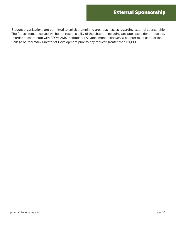Student organizations are permitted to solicit alumni and area businesses regarding external sponsorship. The funds/items received will be the responsibility of the chapter, including any applicable donor receipts. In order to coordinate with COP/UAMS Institutional Advancement initiatives, a chapter must contact the College of Pharmacy Director of Development prior to any request greater than \$1,000.